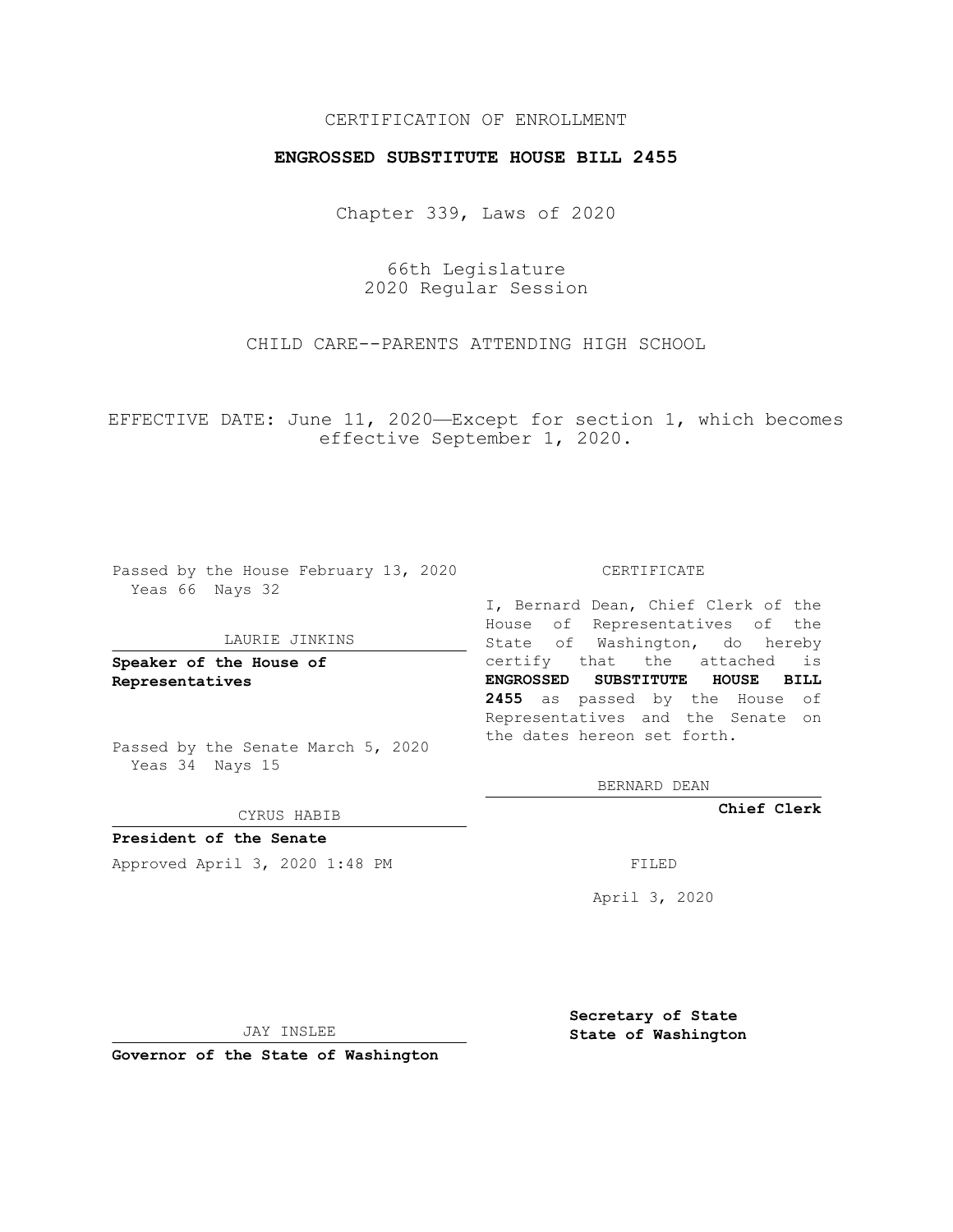## CERTIFICATION OF ENROLLMENT

## **ENGROSSED SUBSTITUTE HOUSE BILL 2455**

Chapter 339, Laws of 2020

66th Legislature 2020 Regular Session

CHILD CARE--PARENTS ATTENDING HIGH SCHOOL

EFFECTIVE DATE: June 11, 2020—Except for section 1, which becomes effective September 1, 2020.

Passed by the House February 13, 2020 Yeas 66 Nays 32

#### LAURIE JINKINS

**Speaker of the House of Representatives**

Passed by the Senate March 5, 2020 Yeas 34 Nays 15

CYRUS HABIB

**President of the Senate** Approved April 3, 2020 1:48 PM FILED

CERTIFICATE

I, Bernard Dean, Chief Clerk of the House of Representatives of the State of Washington, do hereby certify that the attached is **ENGROSSED SUBSTITUTE HOUSE BILL 2455** as passed by the House of Representatives and the Senate on the dates hereon set forth.

BERNARD DEAN

**Chief Clerk**

April 3, 2020

JAY INSLEE

**Governor of the State of Washington**

**Secretary of State State of Washington**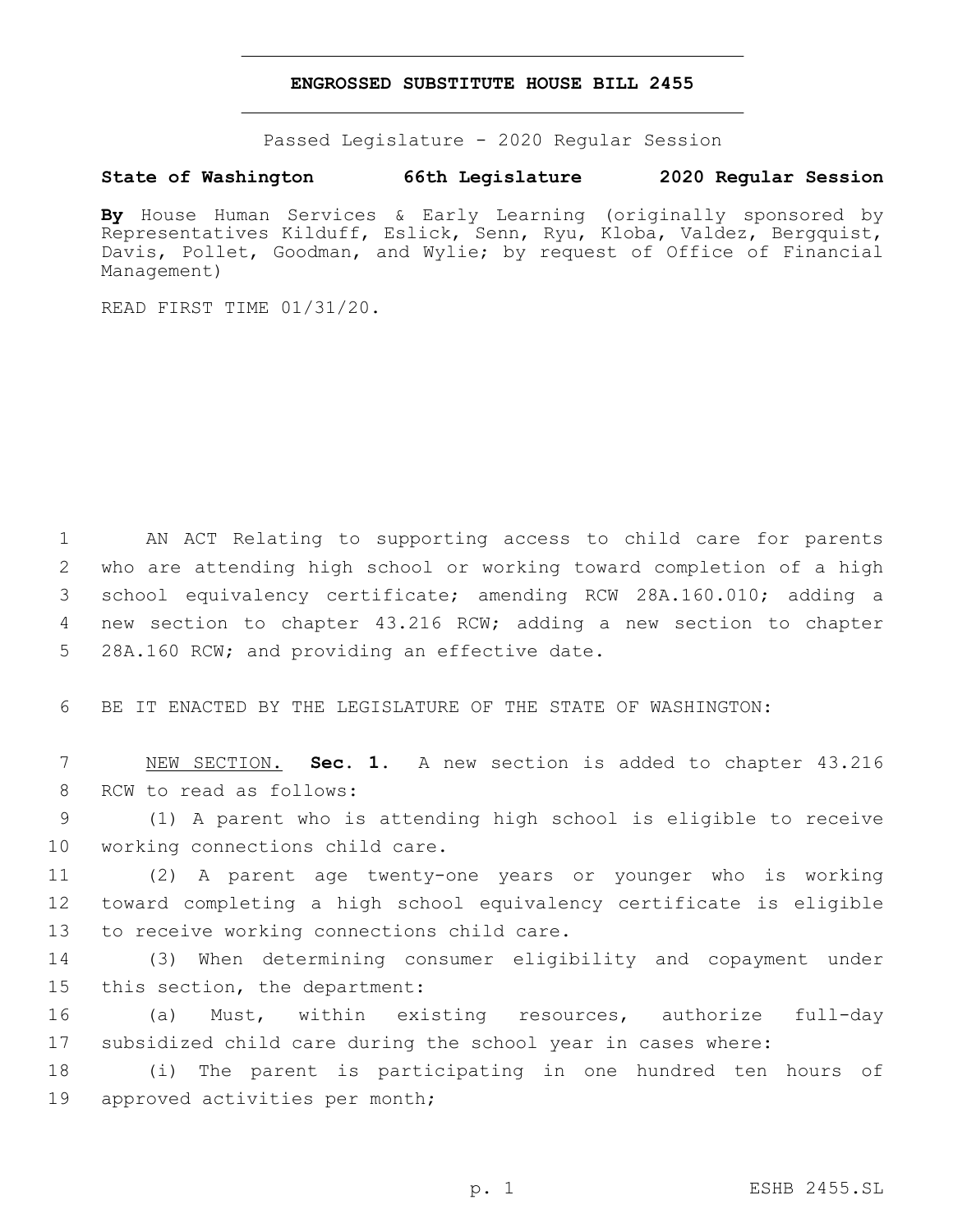### **ENGROSSED SUBSTITUTE HOUSE BILL 2455**

Passed Legislature - 2020 Regular Session

# **State of Washington 66th Legislature 2020 Regular Session**

**By** House Human Services & Early Learning (originally sponsored by Representatives Kilduff, Eslick, Senn, Ryu, Kloba, Valdez, Bergquist, Davis, Pollet, Goodman, and Wylie; by request of Office of Financial Management)

READ FIRST TIME 01/31/20.

 AN ACT Relating to supporting access to child care for parents who are attending high school or working toward completion of a high school equivalency certificate; amending RCW 28A.160.010; adding a new section to chapter 43.216 RCW; adding a new section to chapter 5 28A.160 RCW; and providing an effective date.

6 BE IT ENACTED BY THE LEGISLATURE OF THE STATE OF WASHINGTON:

7 NEW SECTION. **Sec. 1.** A new section is added to chapter 43.216 8 RCW to read as follows:

9 (1) A parent who is attending high school is eligible to receive 10 working connections child care.

11 (2) A parent age twenty-one years or younger who is working 12 toward completing a high school equivalency certificate is eligible 13 to receive working connections child care.

14 (3) When determining consumer eligibility and copayment under 15 this section, the department:

16 (a) Must, within existing resources, authorize full-day 17 subsidized child care during the school year in cases where:

18 (i) The parent is participating in one hundred ten hours of 19 approved activities per month;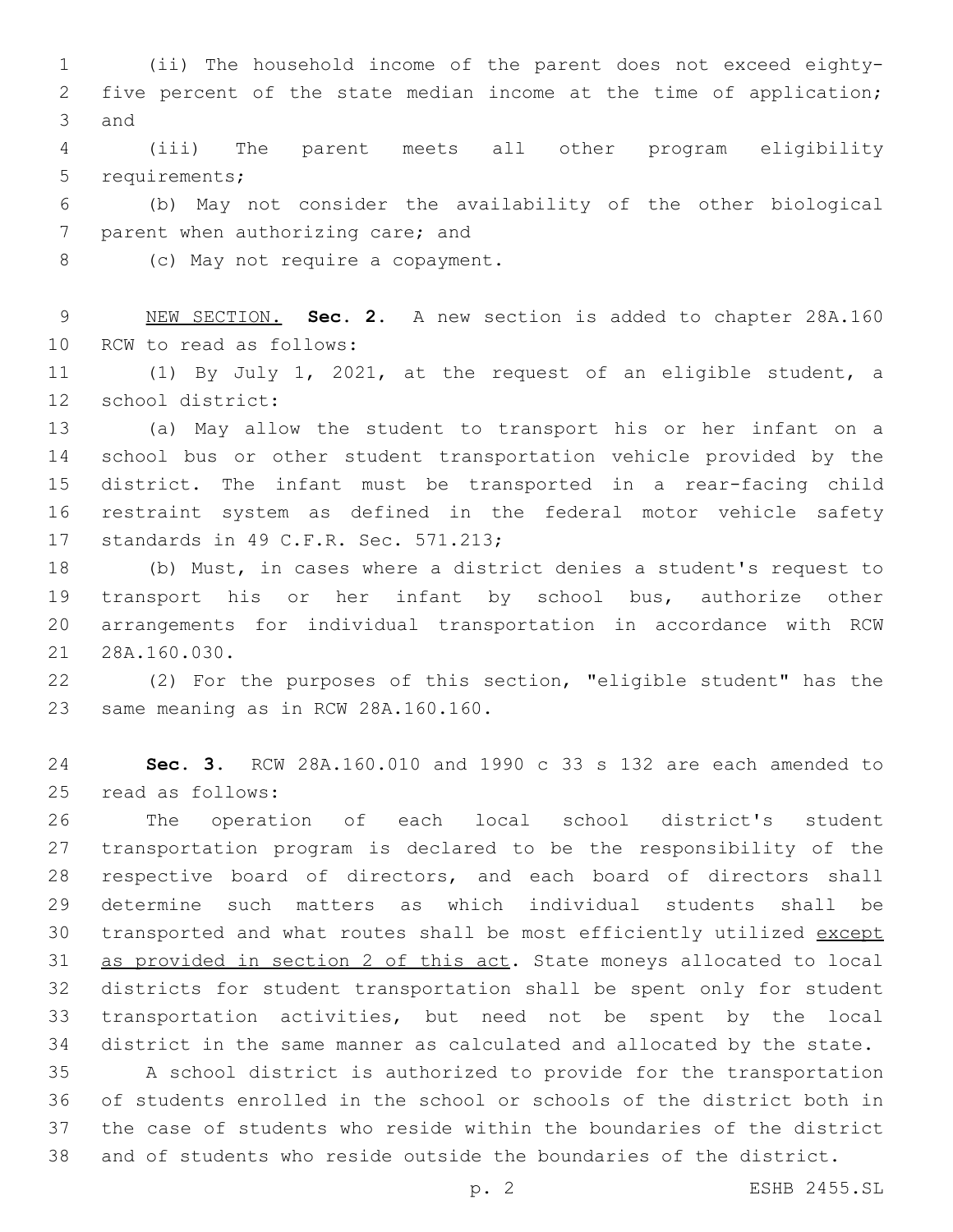(ii) The household income of the parent does not exceed eighty- five percent of the state median income at the time of application; 3 and

 (iii) The parent meets all other program eligibility 5 requirements;

 (b) May not consider the availability of the other biological 7 parent when authorizing care; and

8 (c) May not require a copayment.

 NEW SECTION. **Sec. 2.** A new section is added to chapter 28A.160 10 RCW to read as follows:

 (1) By July 1, 2021, at the request of an eligible student, a 12 school district:

 (a) May allow the student to transport his or her infant on a school bus or other student transportation vehicle provided by the district. The infant must be transported in a rear-facing child restraint system as defined in the federal motor vehicle safety 17 standards in 49 C.F.R. Sec. 571.213;

 (b) Must, in cases where a district denies a student's request to transport his or her infant by school bus, authorize other arrangements for individual transportation in accordance with RCW 21 28A.160.030.

 (2) For the purposes of this section, "eligible student" has the 23 same meaning as in RCW 28A.160.160.

 **Sec. 3.** RCW 28A.160.010 and 1990 c 33 s 132 are each amended to read as follows:25

 The operation of each local school district's student transportation program is declared to be the responsibility of the respective board of directors, and each board of directors shall determine such matters as which individual students shall be 30 transported and what routes shall be most efficiently utilized except as provided in section 2 of this act. State moneys allocated to local districts for student transportation shall be spent only for student transportation activities, but need not be spent by the local district in the same manner as calculated and allocated by the state.

 A school district is authorized to provide for the transportation of students enrolled in the school or schools of the district both in the case of students who reside within the boundaries of the district and of students who reside outside the boundaries of the district.

p. 2 ESHB 2455.SL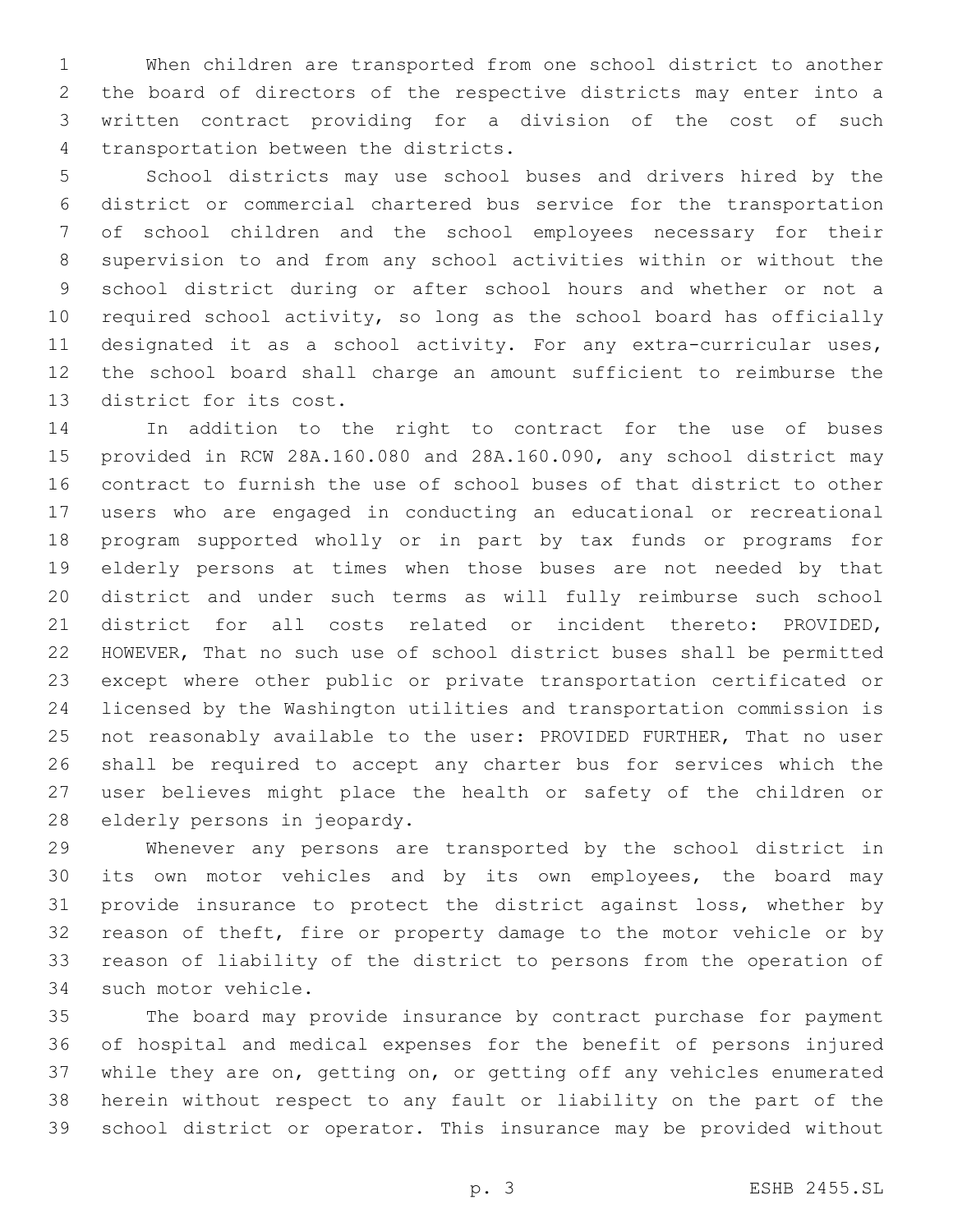When children are transported from one school district to another the board of directors of the respective districts may enter into a written contract providing for a division of the cost of such 4 transportation between the districts.

 School districts may use school buses and drivers hired by the district or commercial chartered bus service for the transportation of school children and the school employees necessary for their supervision to and from any school activities within or without the school district during or after school hours and whether or not a required school activity, so long as the school board has officially designated it as a school activity. For any extra-curricular uses, the school board shall charge an amount sufficient to reimburse the 13 district for its cost.

 In addition to the right to contract for the use of buses provided in RCW 28A.160.080 and 28A.160.090, any school district may contract to furnish the use of school buses of that district to other users who are engaged in conducting an educational or recreational program supported wholly or in part by tax funds or programs for elderly persons at times when those buses are not needed by that district and under such terms as will fully reimburse such school district for all costs related or incident thereto: PROVIDED, HOWEVER, That no such use of school district buses shall be permitted except where other public or private transportation certificated or licensed by the Washington utilities and transportation commission is not reasonably available to the user: PROVIDED FURTHER, That no user shall be required to accept any charter bus for services which the user believes might place the health or safety of the children or 28 elderly persons in jeopardy.

 Whenever any persons are transported by the school district in its own motor vehicles and by its own employees, the board may provide insurance to protect the district against loss, whether by reason of theft, fire or property damage to the motor vehicle or by reason of liability of the district to persons from the operation of 34 such motor vehicle.

 The board may provide insurance by contract purchase for payment of hospital and medical expenses for the benefit of persons injured while they are on, getting on, or getting off any vehicles enumerated herein without respect to any fault or liability on the part of the school district or operator. This insurance may be provided without